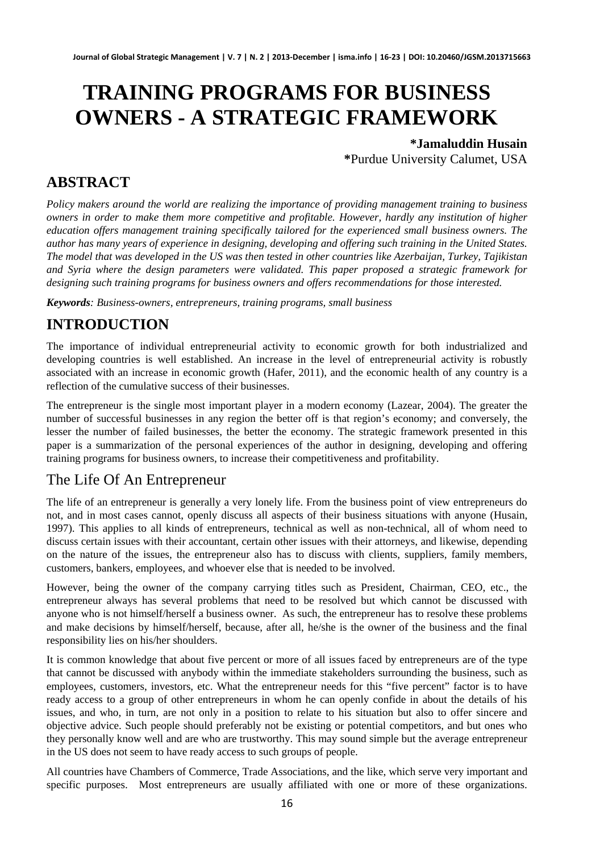# **TRAINING PROGRAMS FOR BUSINESS OWNERS - A STRATEGIC FRAMEWORK**

**\*Jamaluddin Husain \***Purdue University Calumet, USA

## **ABSTRACT**

*Policy makers around the world are realizing the importance of providing management training to business owners in order to make them more competitive and profitable. However, hardly any institution of higher education offers management training specifically tailored for the experienced small business owners. The author has many years of experience in designing, developing and offering such training in the United States. The model that was developed in the US was then tested in other countries like Azerbaijan, Turkey, Tajikistan and Syria where the design parameters were validated. This paper proposed a strategic framework for designing such training programs for business owners and offers recommendations for those interested.* 

*Keywords: Business-owners, entrepreneurs, training programs, small business* 

# **INTRODUCTION**

The importance of individual entrepreneurial activity to economic growth for both industrialized and developing countries is well established. An increase in the level of entrepreneurial activity is robustly associated with an increase in economic growth (Hafer, 2011), and the economic health of any country is a reflection of the cumulative success of their businesses.

The entrepreneur is the single most important player in a modern economy (Lazear, 2004). The greater the number of successful businesses in any region the better off is that region's economy; and conversely, the lesser the number of failed businesses, the better the economy. The strategic framework presented in this paper is a summarization of the personal experiences of the author in designing, developing and offering training programs for business owners, to increase their competitiveness and profitability.

#### The Life Of An Entrepreneur

The life of an entrepreneur is generally a very lonely life. From the business point of view entrepreneurs do not, and in most cases cannot, openly discuss all aspects of their business situations with anyone (Husain, 1997). This applies to all kinds of entrepreneurs, technical as well as non-technical, all of whom need to discuss certain issues with their accountant, certain other issues with their attorneys, and likewise, depending on the nature of the issues, the entrepreneur also has to discuss with clients, suppliers, family members, customers, bankers, employees, and whoever else that is needed to be involved.

However, being the owner of the company carrying titles such as President, Chairman, CEO, etc., the entrepreneur always has several problems that need to be resolved but which cannot be discussed with anyone who is not himself/herself a business owner. As such, the entrepreneur has to resolve these problems and make decisions by himself/herself, because, after all, he/she is the owner of the business and the final responsibility lies on his/her shoulders.

It is common knowledge that about five percent or more of all issues faced by entrepreneurs are of the type that cannot be discussed with anybody within the immediate stakeholders surrounding the business, such as employees, customers, investors, etc. What the entrepreneur needs for this "five percent" factor is to have ready access to a group of other entrepreneurs in whom he can openly confide in about the details of his issues, and who, in turn, are not only in a position to relate to his situation but also to offer sincere and objective advice. Such people should preferably not be existing or potential competitors, and but ones who they personally know well and are who are trustworthy. This may sound simple but the average entrepreneur in the US does not seem to have ready access to such groups of people.

All countries have Chambers of Commerce, Trade Associations, and the like, which serve very important and specific purposes. Most entrepreneurs are usually affiliated with one or more of these organizations.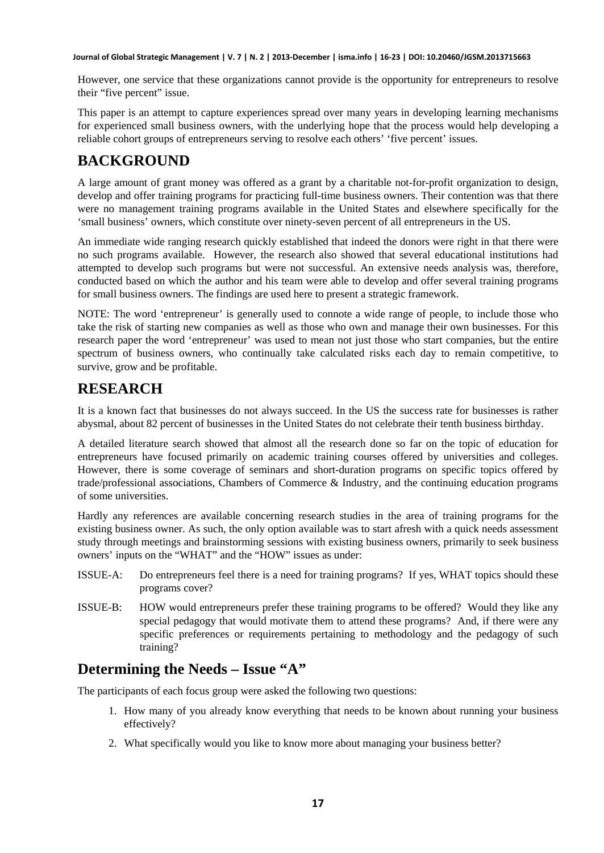**Journal of Global Strategic Management | V. 7 | N. 2 | 2013-December | isma.info | 16-23 | DOI: 10.20460/JGSM.2013715663**

However, one service that these organizations cannot provide is the opportunity for entrepreneurs to resolve their "five percent" issue.

This paper is an attempt to capture experiences spread over many years in developing learning mechanisms for experienced small business owners, with the underlying hope that the process would help developing a reliable cohort groups of entrepreneurs serving to resolve each others' 'five percent' issues.

# **BACKGROUND**

A large amount of grant money was offered as a grant by a charitable not-for-profit organization to design, develop and offer training programs for practicing full-time business owners. Their contention was that there were no management training programs available in the United States and elsewhere specifically for the 'small business' owners, which constitute over ninety-seven percent of all entrepreneurs in the US.

An immediate wide ranging research quickly established that indeed the donors were right in that there were no such programs available. However, the research also showed that several educational institutions had attempted to develop such programs but were not successful. An extensive needs analysis was, therefore, conducted based on which the author and his team were able to develop and offer several training programs for small business owners. The findings are used here to present a strategic framework.

NOTE: The word 'entrepreneur' is generally used to connote a wide range of people, to include those who take the risk of starting new companies as well as those who own and manage their own businesses. For this research paper the word 'entrepreneur' was used to mean not just those who start companies, but the entire spectrum of business owners, who continually take calculated risks each day to remain competitive, to survive, grow and be profitable.

# **RESEARCH**

It is a known fact that businesses do not always succeed. In the US the success rate for businesses is rather abysmal, about 82 percent of businesses in the United States do not celebrate their tenth business birthday.

A detailed literature search showed that almost all the research done so far on the topic of education for entrepreneurs have focused primarily on academic training courses offered by universities and colleges. However, there is some coverage of seminars and short-duration programs on specific topics offered by trade/professional associations, Chambers of Commerce & Industry, and the continuing education programs of some universities.

Hardly any references are available concerning research studies in the area of training programs for the existing business owner. As such, the only option available was to start afresh with a quick needs assessment study through meetings and brainstorming sessions with existing business owners, primarily to seek business owners' inputs on the "WHAT" and the "HOW" issues as under:

- ISSUE-A: Do entrepreneurs feel there is a need for training programs? If yes, WHAT topics should these programs cover?
- ISSUE-B: HOW would entrepreneurs prefer these training programs to be offered? Would they like any special pedagogy that would motivate them to attend these programs? And, if there were any specific preferences or requirements pertaining to methodology and the pedagogy of such training?

## **Determining the Needs – Issue "A"**

The participants of each focus group were asked the following two questions:

- 1. How many of you already know everything that needs to be known about running your business effectively?
- 2. What specifically would you like to know more about managing your business better?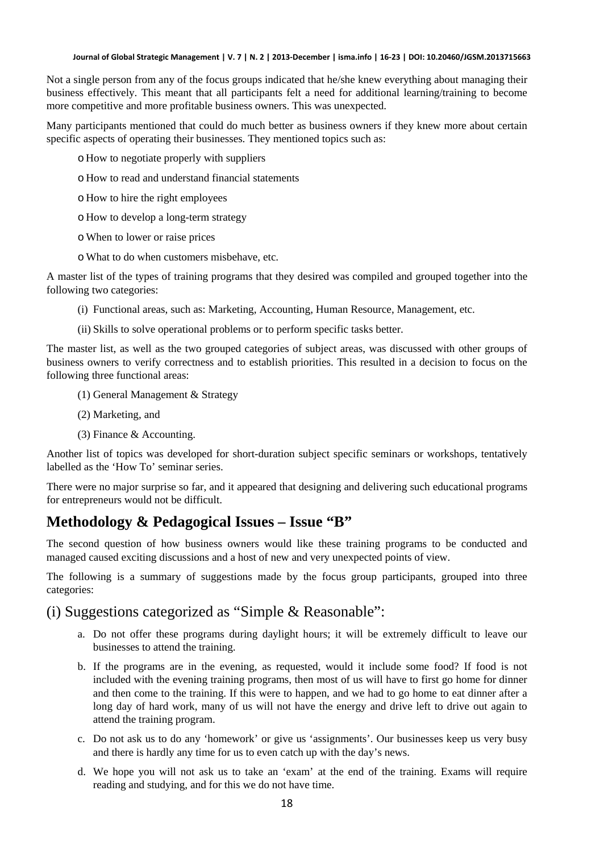Not a single person from any of the focus groups indicated that he/she knew everything about managing their business effectively. This meant that all participants felt a need for additional learning/training to become more competitive and more profitable business owners. This was unexpected.

Many participants mentioned that could do much better as business owners if they knew more about certain specific aspects of operating their businesses. They mentioned topics such as:

- o How to negotiate properly with suppliers
- o How to read and understand financial statements
- o How to hire the right employees
- o How to develop a long-term strategy
- o When to lower or raise prices
- o What to do when customers misbehave, etc.

A master list of the types of training programs that they desired was compiled and grouped together into the following two categories:

- (i) Functional areas, such as: Marketing, Accounting, Human Resource, Management, etc.
- (ii) Skills to solve operational problems or to perform specific tasks better.

The master list, as well as the two grouped categories of subject areas, was discussed with other groups of business owners to verify correctness and to establish priorities. This resulted in a decision to focus on the following three functional areas:

- (1) General Management & Strategy
- (2) Marketing, and
- (3) Finance & Accounting.

Another list of topics was developed for short-duration subject specific seminars or workshops, tentatively labelled as the 'How To' seminar series.

There were no major surprise so far, and it appeared that designing and delivering such educational programs for entrepreneurs would not be difficult.

# **Methodology & Pedagogical Issues – Issue "B"**

The second question of how business owners would like these training programs to be conducted and managed caused exciting discussions and a host of new and very unexpected points of view.

The following is a summary of suggestions made by the focus group participants, grouped into three categories:

#### (i) Suggestions categorized as "Simple & Reasonable":

- a. Do not offer these programs during daylight hours; it will be extremely difficult to leave our businesses to attend the training.
- b. If the programs are in the evening, as requested, would it include some food? If food is not included with the evening training programs, then most of us will have to first go home for dinner and then come to the training. If this were to happen, and we had to go home to eat dinner after a long day of hard work, many of us will not have the energy and drive left to drive out again to attend the training program.
- c. Do not ask us to do any 'homework' or give us 'assignments'. Our businesses keep us very busy and there is hardly any time for us to even catch up with the day's news.
- d. We hope you will not ask us to take an 'exam' at the end of the training. Exams will require reading and studying, and for this we do not have time.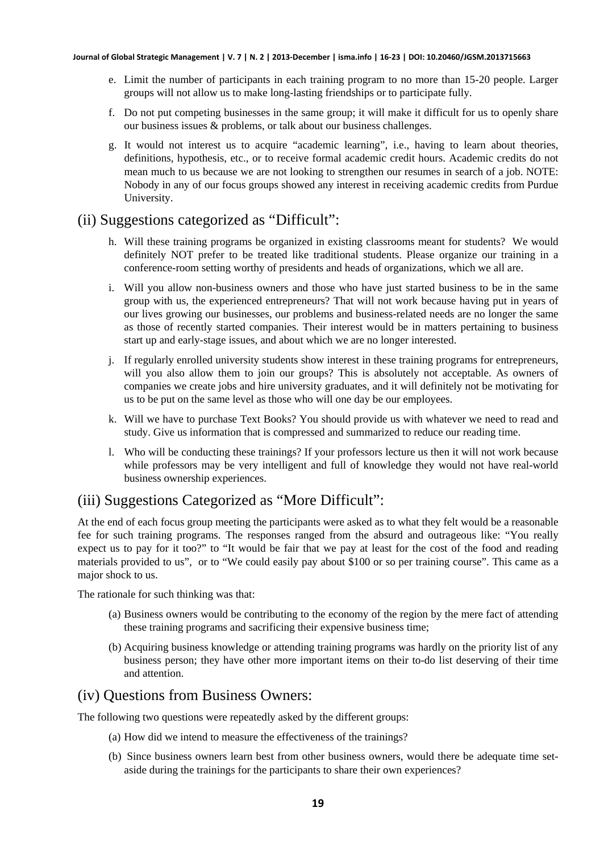- e. Limit the number of participants in each training program to no more than 15-20 people. Larger groups will not allow us to make long-lasting friendships or to participate fully.
- f. Do not put competing businesses in the same group; it will make it difficult for us to openly share our business issues & problems, or talk about our business challenges.
- g. It would not interest us to acquire "academic learning", i.e., having to learn about theories, definitions, hypothesis, etc., or to receive formal academic credit hours. Academic credits do not mean much to us because we are not looking to strengthen our resumes in search of a job. NOTE: Nobody in any of our focus groups showed any interest in receiving academic credits from Purdue University.

### (ii) Suggestions categorized as "Difficult":

- h. Will these training programs be organized in existing classrooms meant for students? We would definitely NOT prefer to be treated like traditional students. Please organize our training in a conference-room setting worthy of presidents and heads of organizations, which we all are.
- i. Will you allow non-business owners and those who have just started business to be in the same group with us, the experienced entrepreneurs? That will not work because having put in years of our lives growing our businesses, our problems and business-related needs are no longer the same as those of recently started companies. Their interest would be in matters pertaining to business start up and early-stage issues, and about which we are no longer interested.
- j. If regularly enrolled university students show interest in these training programs for entrepreneurs, will you also allow them to join our groups? This is absolutely not acceptable. As owners of companies we create jobs and hire university graduates, and it will definitely not be motivating for us to be put on the same level as those who will one day be our employees.
- k. Will we have to purchase Text Books? You should provide us with whatever we need to read and study. Give us information that is compressed and summarized to reduce our reading time.
- l. Who will be conducting these trainings? If your professors lecture us then it will not work because while professors may be very intelligent and full of knowledge they would not have real-world business ownership experiences.

#### (iii) Suggestions Categorized as "More Difficult":

At the end of each focus group meeting the participants were asked as to what they felt would be a reasonable fee for such training programs. The responses ranged from the absurd and outrageous like: "You really expect us to pay for it too?" to "It would be fair that we pay at least for the cost of the food and reading materials provided to us", or to "We could easily pay about \$100 or so per training course". This came as a major shock to us.

The rationale for such thinking was that:

- (a) Business owners would be contributing to the economy of the region by the mere fact of attending these training programs and sacrificing their expensive business time;
- (b) Acquiring business knowledge or attending training programs was hardly on the priority list of any business person; they have other more important items on their to-do list deserving of their time and attention.

#### (iv) Questions from Business Owners:

The following two questions were repeatedly asked by the different groups:

- (a) How did we intend to measure the effectiveness of the trainings?
- (b) Since business owners learn best from other business owners, would there be adequate time setaside during the trainings for the participants to share their own experiences?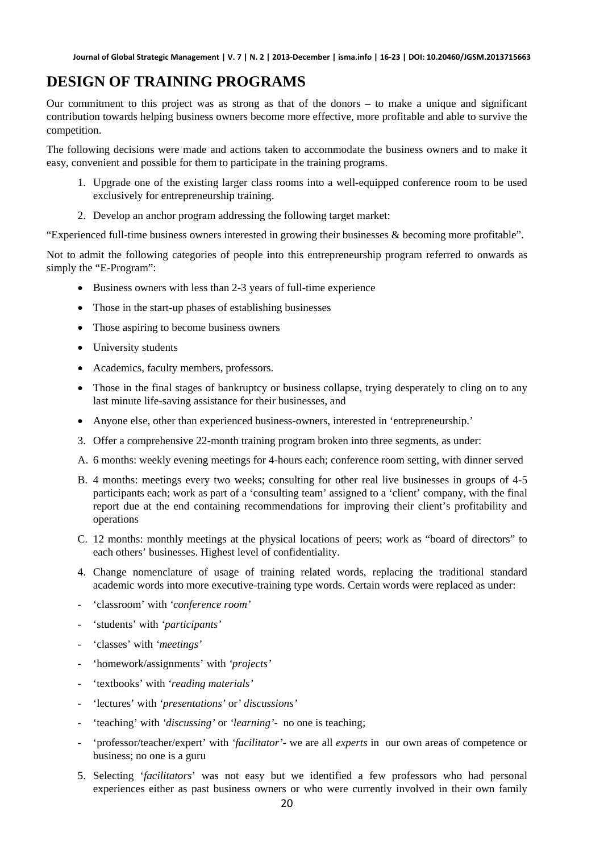#### **DESIGN OF TRAINING PROGRAMS**

Our commitment to this project was as strong as that of the donors – to make a unique and significant contribution towards helping business owners become more effective, more profitable and able to survive the competition.

The following decisions were made and actions taken to accommodate the business owners and to make it easy, convenient and possible for them to participate in the training programs.

- 1. Upgrade one of the existing larger class rooms into a well-equipped conference room to be used exclusively for entrepreneurship training.
- 2. Develop an anchor program addressing the following target market:

"Experienced full-time business owners interested in growing their businesses & becoming more profitable".

Not to admit the following categories of people into this entrepreneurship program referred to onwards as simply the "E-Program":

- Business owners with less than 2-3 years of full-time experience
- Those in the start-up phases of establishing businesses
- Those aspiring to become business owners
- University students
- Academics, faculty members, professors.
- Those in the final stages of bankruptcy or business collapse, trying desperately to cling on to any last minute life-saving assistance for their businesses, and
- Anyone else, other than experienced business-owners, interested in 'entrepreneurship.'
- 3. Offer a comprehensive 22-month training program broken into three segments, as under:
- A. 6 months: weekly evening meetings for 4-hours each; conference room setting, with dinner served
- B. 4 months: meetings every two weeks; consulting for other real live businesses in groups of 4-5 participants each; work as part of a 'consulting team' assigned to a 'client' company, with the final report due at the end containing recommendations for improving their client's profitability and operations
- C. 12 months: monthly meetings at the physical locations of peers; work as "board of directors" to each others' businesses. Highest level of confidentiality.
- 4. Change nomenclature of usage of training related words, replacing the traditional standard academic words into more executive-training type words. Certain words were replaced as under:
- 'classroom' with *'conference room'*
- 'students' with *'participants'*
- 'classes' with *'meetings'*
- 'homework/assignments' with *'projects'*
- 'textbooks' with *'reading materials'*
- 'lectures' with *'presentations'* or*' discussions'*
- 'teaching' with 'discussing' or 'learning'- no one is teaching;
- 'professor/teacher/expert' with *'facilitator'-* we are all *experts* in our own areas of competence or business; no one is a guru
- 5. Selecting '*facilitators*' was not easy but we identified a few professors who had personal experiences either as past business owners or who were currently involved in their own family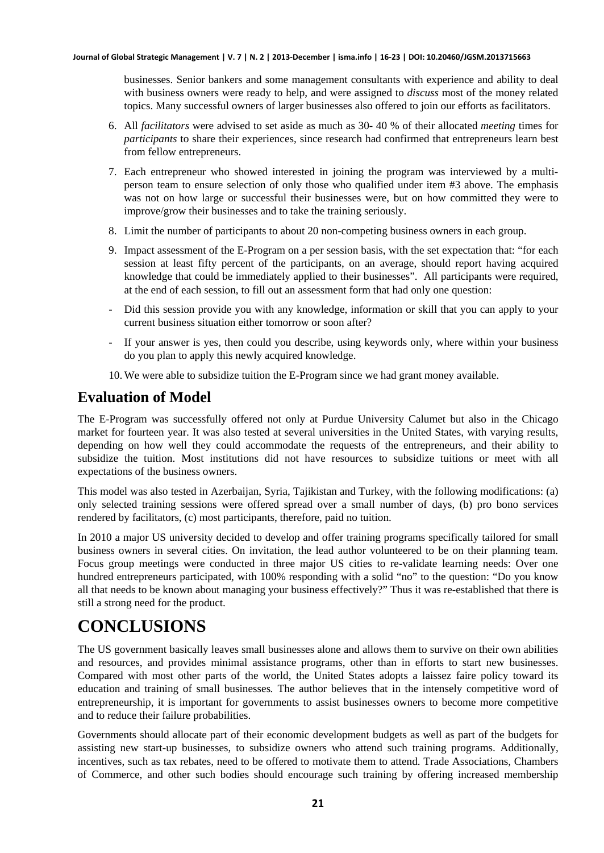businesses. Senior bankers and some management consultants with experience and ability to deal with business owners were ready to help, and were assigned to *discuss* most of the money related topics. Many successful owners of larger businesses also offered to join our efforts as facilitators.

- 6. All *facilitators* were advised to set aside as much as 30- 40 % of their allocated *meeting* times for *participants* to share their experiences, since research had confirmed that entrepreneurs learn best from fellow entrepreneurs.
- 7. Each entrepreneur who showed interested in joining the program was interviewed by a multiperson team to ensure selection of only those who qualified under item #3 above. The emphasis was not on how large or successful their businesses were, but on how committed they were to improve/grow their businesses and to take the training seriously.
- 8. Limit the number of participants to about 20 non-competing business owners in each group.
- 9. Impact assessment of the E-Program on a per session basis, with the set expectation that: "for each session at least fifty percent of the participants, on an average, should report having acquired knowledge that could be immediately applied to their businesses". All participants were required, at the end of each session, to fill out an assessment form that had only one question:
- Did this session provide you with any knowledge, information or skill that you can apply to your current business situation either tomorrow or soon after?
- If your answer is yes, then could you describe, using keywords only, where within your business do you plan to apply this newly acquired knowledge.
- 10. We were able to subsidize tuition the E-Program since we had grant money available.

#### **Evaluation of Model**

The E-Program was successfully offered not only at Purdue University Calumet but also in the Chicago market for fourteen year. It was also tested at several universities in the United States, with varying results, depending on how well they could accommodate the requests of the entrepreneurs, and their ability to subsidize the tuition. Most institutions did not have resources to subsidize tuitions or meet with all expectations of the business owners.

This model was also tested in Azerbaijan, Syria, Tajikistan and Turkey, with the following modifications: (a) only selected training sessions were offered spread over a small number of days, (b) pro bono services rendered by facilitators, (c) most participants, therefore, paid no tuition.

In 2010 a major US university decided to develop and offer training programs specifically tailored for small business owners in several cities. On invitation, the lead author volunteered to be on their planning team. Focus group meetings were conducted in three major US cities to re-validate learning needs: Over one hundred entrepreneurs participated, with 100% responding with a solid "no" to the question: "Do you know all that needs to be known about managing your business effectively?" Thus it was re-established that there is still a strong need for the product.

# **CONCLUSIONS**

The US government basically leaves small businesses alone and allows them to survive on their own abilities and resources, and provides minimal assistance programs, other than in efforts to start new businesses. Compared with most other parts of the world, the United States adopts a laissez faire policy toward its education and training of small businesses*.* The author believes that in the intensely competitive word of entrepreneurship, it is important for governments to assist businesses owners to become more competitive and to reduce their failure probabilities.

Governments should allocate part of their economic development budgets as well as part of the budgets for assisting new start-up businesses, to subsidize owners who attend such training programs. Additionally, incentives, such as tax rebates, need to be offered to motivate them to attend. Trade Associations, Chambers of Commerce, and other such bodies should encourage such training by offering increased membership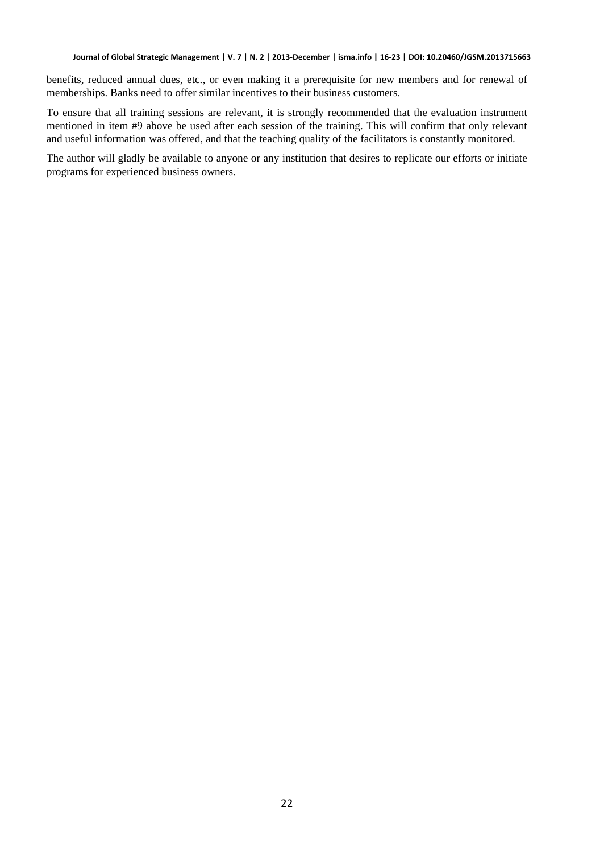benefits, reduced annual dues, etc., or even making it a prerequisite for new members and for renewal of memberships. Banks need to offer similar incentives to their business customers.

To ensure that all training sessions are relevant, it is strongly recommended that the evaluation instrument mentioned in item #9 above be used after each session of the training. This will confirm that only relevant and useful information was offered, and that the teaching quality of the facilitators is constantly monitored.

The author will gladly be available to anyone or any institution that desires to replicate our efforts or initiate programs for experienced business owners.